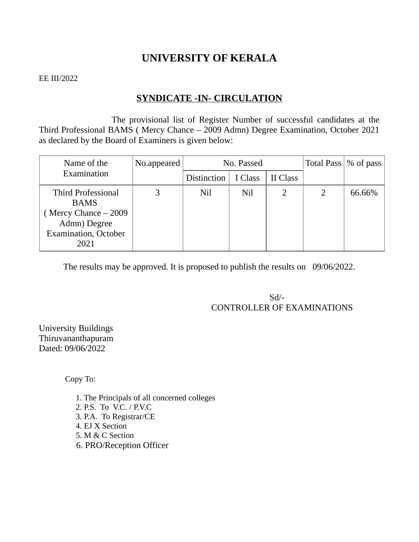## **UNIVERSITY OF KERALA**

#### EE III/2022

## **SYNDICATE -IN- CIRCULATION**

The provisional list of Register Number of successful candidates at the Third Professional BAMS ( Mercy Chance – 2009 Admn) Degree Examination, October 2021 as declared by the Board of Examiners is given below:

| Name of the<br>Examination                                                                                              | No.appeared | No. Passed         |         |          |   | Total Pass   % of pass |
|-------------------------------------------------------------------------------------------------------------------------|-------------|--------------------|---------|----------|---|------------------------|
|                                                                                                                         |             | <b>Distinction</b> | I Class | II Class |   |                        |
| <b>Third Professional</b><br><b>BAMS</b><br>Mercy Chance – 2009<br>Admn) Degree<br><b>Examination</b> , October<br>2021 |             | Nil                | Nil     |          | 2 | 66.66%                 |

The results may be approved. It is proposed to publish the results on 09/06/2022.

 Sd/- CONTROLLER OF EXAMINATIONS

University Buildings Thiruvananthapuram Dated: 09/06/2022

Copy To:

1. The Principals of all concerned colleges 2. P.S. To V.C. / P.V.C 3. P.A. To Registrar/CE 4. EJ X Section 5. M & C Section 6. PRO/Reception Officer